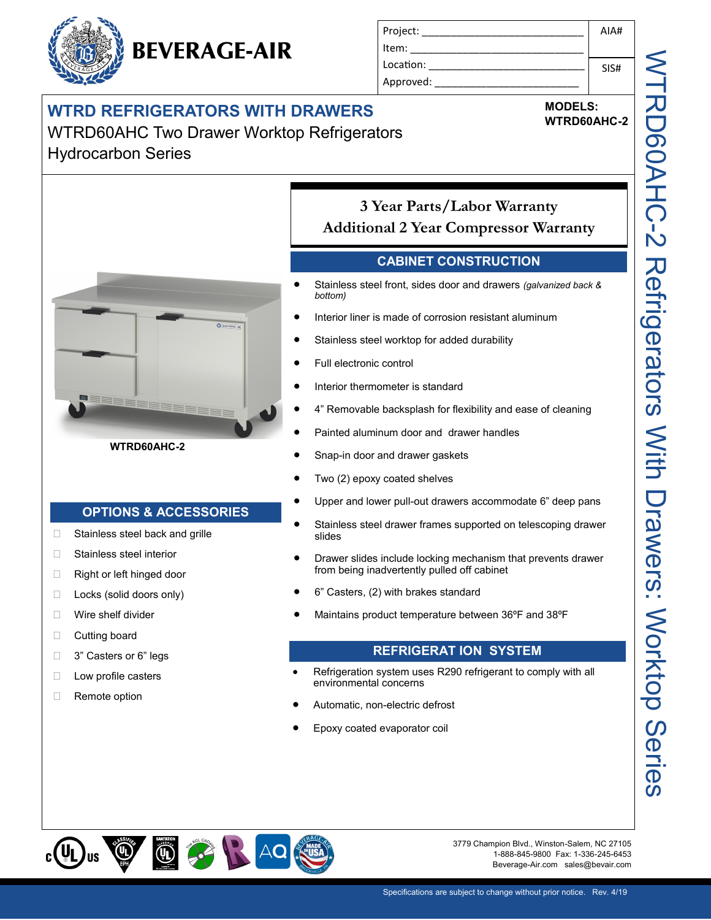### **WTRD REFRIGERATORS WITH DRAWERS**

**BEVERAGE-AIR** 

WTRD60AHC Two Drawer Worktop Refrigerators Hydrocarbon Series



#### **WTRD60AHC-2**

#### **OPTIONS & ACCESSORIES**

- □ Stainless steel back and grille
- □ Stainless steel interior
- Right or left hinged door
- □ Locks (solid doors only)
- Wire shelf divider
- □ Cutting board
- □ 3" Casters or 6" legs
- **Low profile casters**
- Remote option

| Project:  | AIA# |
|-----------|------|
| Item:     |      |
| Location: | SIS# |
| Approved: |      |

## **MODELS:**

**WTRD60AHC-2**

**3 Year Parts/Labor Warranty Additional 2 Year Compressor Warranty**

#### **CABINET CONSTRUCTION**

- Stainless steel front, sides door and drawers *(galvanized back & bottom)*
- Interior liner is made of corrosion resistant aluminum
- Stainless steel worktop for added durability
- Full electronic control
- Interior thermometer is standard
- 4" Removable backsplash for flexibility and ease of cleaning
- Painted aluminum door and drawer handles
- Snap-in door and drawer gaskets
- Two (2) epoxy coated shelves
- Upper and lower pull-out drawers accommodate 6" deep pans
- Stainless steel drawer frames supported on telescoping drawer slides
- Drawer slides include locking mechanism that prevents drawer from being inadvertently pulled off cabinet
- 6" Casters, (2) with brakes standard
- Maintains product temperature between 36ºF and 38ºF

#### **REFRIGERAT ION SYSTEM**

- Refrigeration system uses R290 refrigerant to comply with all environmental concerns
- Automatic, non-electric defrost
- Epoxy coated evaporator coil



3779 Champion Blvd., Winston-Salem, NC 27105 1-888-845-9800 Fax: 1-336-245-6453 Beverage-Air.com sales@bevair.com